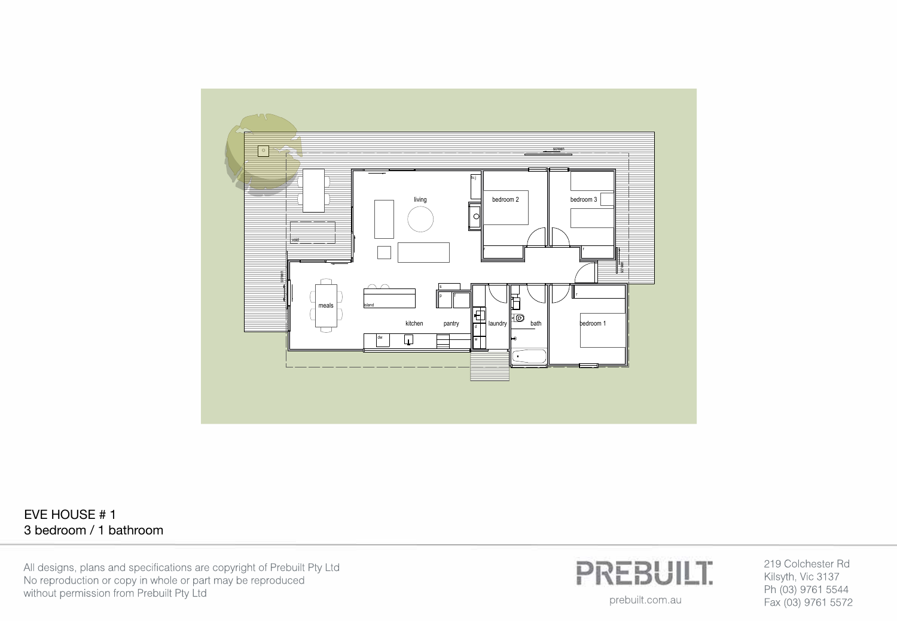

## EVE HOUSE # 1 3 bedroom / 1 bathroom

All designs, plans and specifications are copyright of Prebuilt Pty Ltd No reproduction or copy in whole or part may be reproduced without permission from Prebuilt Pty Ltd



219 Colchester Rd Kilsyth, Vic 3137 Ph (03) 9761 5544 Fax (03) 9761 5572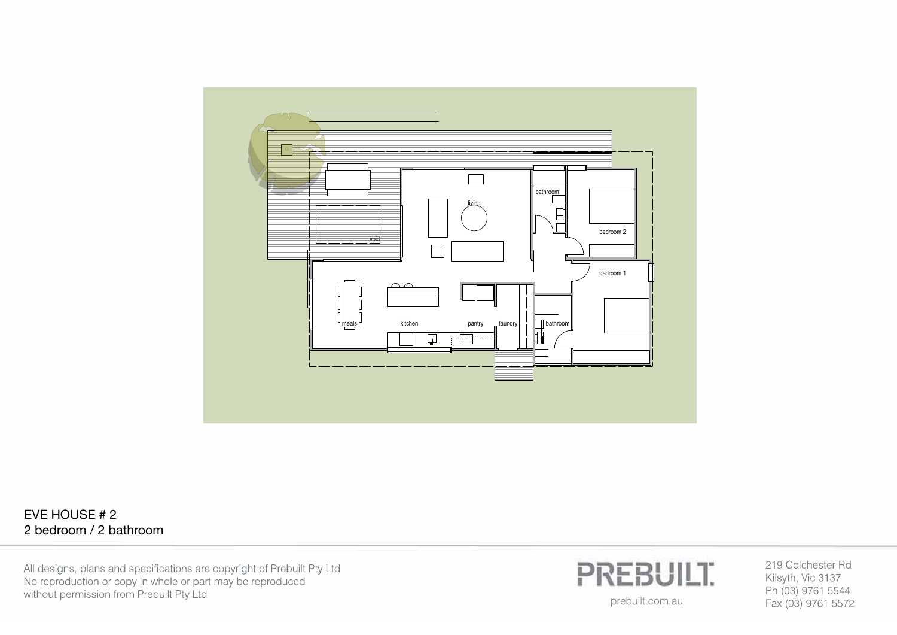

## EVE HOUSE # 2 2 bedroom / 2 bathroom

All designs, plans and specifications are copyright of Prebuilt Pty Ltd No reproduction or copy in whole or part may be reproduced without permission from Prebuilt Pty Ltd



219 Colchester Rd Kilsyth, Vic 3137 Ph (03) 9761 5544 Fax (03) 9761 5572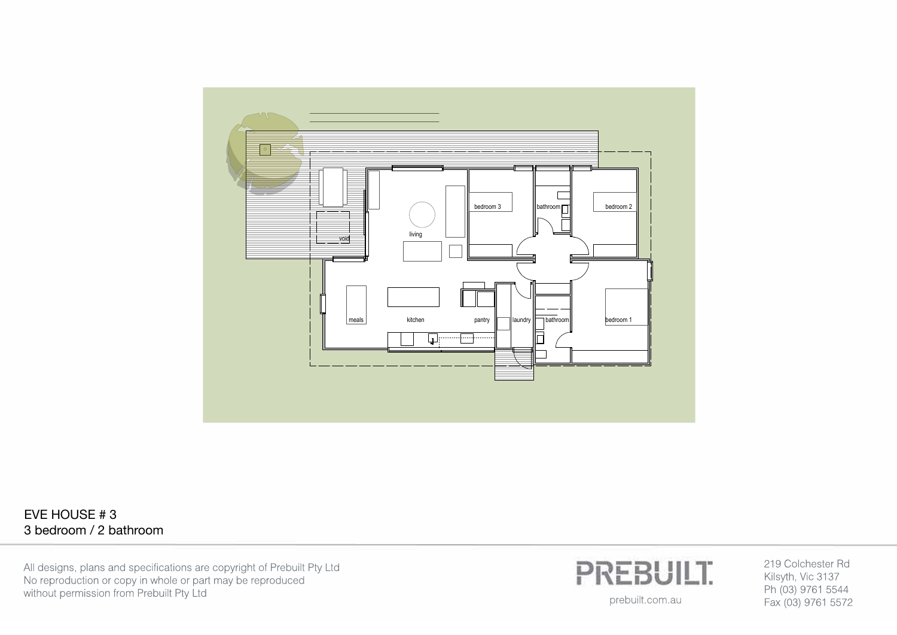

## EVE HOUSE # 3 3 bedroom / 2 bathroom

All designs, plans and specifications are copyright of Prebuilt Pty Ltd No reproduction or copy in whole or part may be reproduced without permission from Prebuilt Pty Ltd



219 Colchester Rd Kilsyth, Vic 3137 Ph (03) 9761 5544 Fax (03) 9761 5572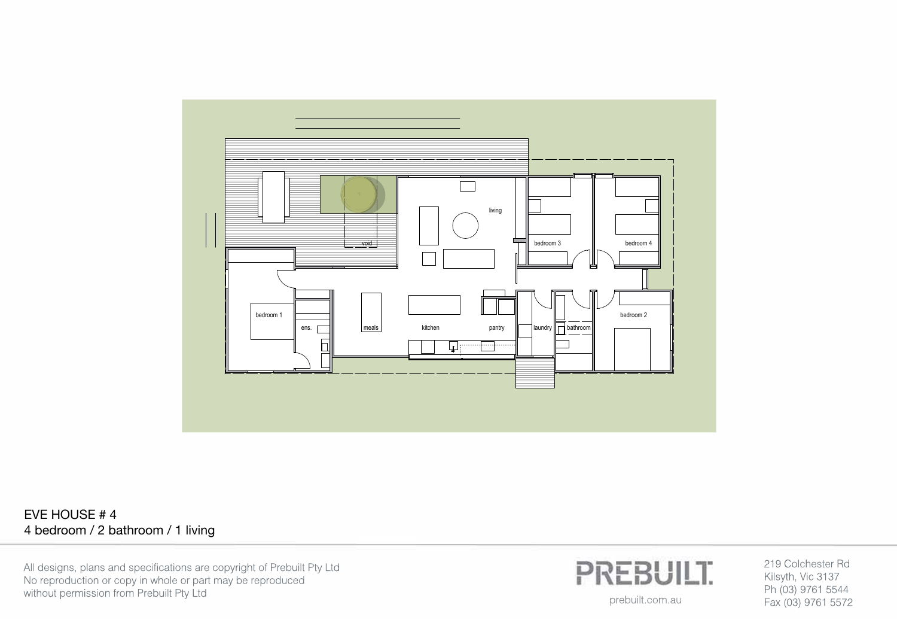

EVE HOUSE # 4 4 bedroom / 2 bathroom / 1 living

All designs, plans and specifications are copyright of Prebuilt Pty Ltd No reproduction or copy in whole or part may be reproduced without permission from Prebuilt Pty Ltd



219 Colchester Rd Kilsyth, Vic 3137 Ph (03) 9761 5544 Fax (03) 9761 5572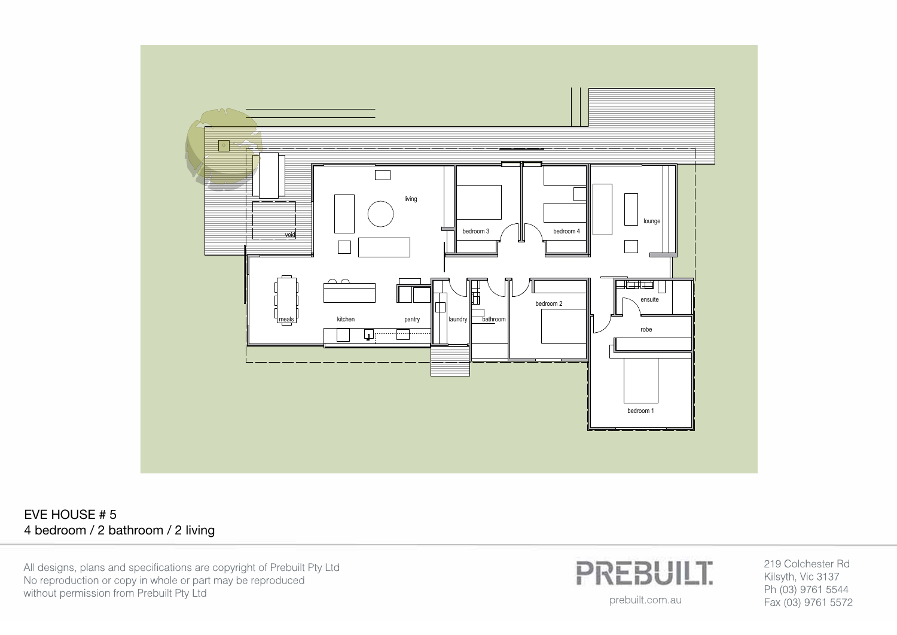

EVE HOUSE # 5 4 bedroom / 2 bathroom / 2 living

All designs, plans and specifications are copyright of Prebuilt Pty Ltd No reproduction or copy in whole or part may be reproduced without permission from Prebuilt Pty Ltd



219 Colchester Rd Kilsyth, Vic 3137 Ph (03) 9761 5544 Fax (03) 9761 5572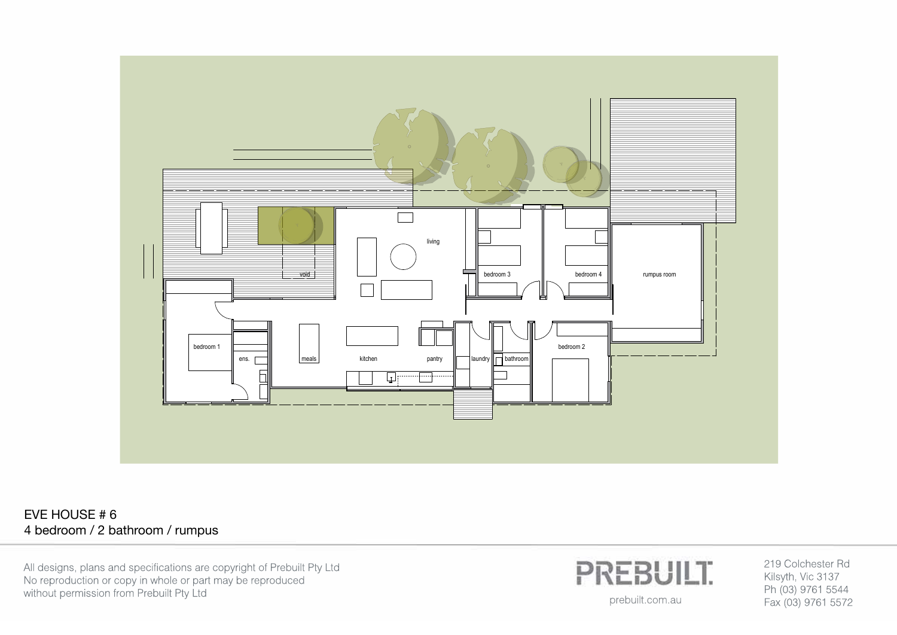

EVE HOUSE # 6 4 bedroom / 2 bathroom / rumpus

All designs, plans and specifications are copyright of Prebuilt Pty Ltd No reproduction or copy in whole or part may be reproduced without permission from Prebuilt Pty Ltd



219 Colchester Rd Kilsyth, Vic 3137 Ph (03) 9761 5544 Fax (03) 9761 5572